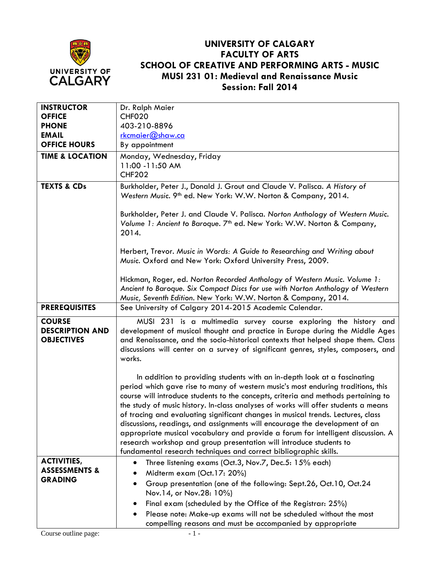

## **UNIVERSITY OF CALGARY FACULTY OF ARTS SCHOOL OF CREATIVE AND PERFORMING ARTS - MUSIC MUSI 231 01: Medieval and Renaissance Music Session: Fall 2014**

| <b>INSTRUCTOR</b>                                            | Dr. Ralph Maier                                                                                                                                                                                                                                                                                                                                                                                                                                                                                                                                                                                                                                                                                                                             |
|--------------------------------------------------------------|---------------------------------------------------------------------------------------------------------------------------------------------------------------------------------------------------------------------------------------------------------------------------------------------------------------------------------------------------------------------------------------------------------------------------------------------------------------------------------------------------------------------------------------------------------------------------------------------------------------------------------------------------------------------------------------------------------------------------------------------|
| <b>OFFICE</b>                                                | <b>CHF020</b>                                                                                                                                                                                                                                                                                                                                                                                                                                                                                                                                                                                                                                                                                                                               |
| <b>PHONE</b>                                                 | 403-210-8896                                                                                                                                                                                                                                                                                                                                                                                                                                                                                                                                                                                                                                                                                                                                |
| <b>EMAIL</b>                                                 | rkcmaier@shaw.ca                                                                                                                                                                                                                                                                                                                                                                                                                                                                                                                                                                                                                                                                                                                            |
| <b>OFFICE HOURS</b>                                          | By appointment                                                                                                                                                                                                                                                                                                                                                                                                                                                                                                                                                                                                                                                                                                                              |
| <b>TIME &amp; LOCATION</b>                                   | Monday, Wednesday, Friday                                                                                                                                                                                                                                                                                                                                                                                                                                                                                                                                                                                                                                                                                                                   |
|                                                              | 11:00 -11:50 AM                                                                                                                                                                                                                                                                                                                                                                                                                                                                                                                                                                                                                                                                                                                             |
|                                                              | <b>CHF202</b>                                                                                                                                                                                                                                                                                                                                                                                                                                                                                                                                                                                                                                                                                                                               |
| <b>TEXTS &amp; CDs</b>                                       | Burkholder, Peter J., Donald J. Grout and Claude V. Palisca. A History of<br>Western Music. 9th ed. New York: W.W. Norton & Company, 2014.                                                                                                                                                                                                                                                                                                                                                                                                                                                                                                                                                                                                  |
|                                                              | Burkholder, Peter J. and Claude V. Palisca. Norton Anthology of Western Music.<br>Volume 1: Ancient to Baroque. 7 <sup>th</sup> ed. New York: W.W. Norton & Company,<br>2014.                                                                                                                                                                                                                                                                                                                                                                                                                                                                                                                                                               |
|                                                              | Herbert, Trevor. Music in Words: A Guide to Researching and Writing about<br>Music. Oxford and New York: Oxford University Press, 2009.                                                                                                                                                                                                                                                                                                                                                                                                                                                                                                                                                                                                     |
|                                                              | Hickman, Roger, ed. Norton Recorded Anthology of Western Music. Volume 1:<br>Ancient to Baroque. Six Compact Discs for use with Norton Anthology of Western<br>Music, Seventh Edition. New York: W.W. Norton & Company, 2014.                                                                                                                                                                                                                                                                                                                                                                                                                                                                                                               |
| <b>PREREQUISITES</b>                                         | See University of Calgary 2014-2015 Academic Calendar.                                                                                                                                                                                                                                                                                                                                                                                                                                                                                                                                                                                                                                                                                      |
|                                                              |                                                                                                                                                                                                                                                                                                                                                                                                                                                                                                                                                                                                                                                                                                                                             |
| <b>COURSE</b><br><b>DESCRIPTION AND</b><br><b>OBJECTIVES</b> | MUSI 231 is a multimedia survey course exploring the history and<br>development of musical thought and practice in Europe during the Middle Ages<br>and Renaissance, and the socio-historical contexts that helped shape them. Class<br>discussions will center on a survey of significant genres, styles, composers, and<br>works.                                                                                                                                                                                                                                                                                                                                                                                                         |
|                                                              | In addition to providing students with an in-depth look at a fascinating<br>period which gave rise to many of western music's most enduring traditions, this<br>course will introduce students to the concepts, criteria and methods pertaining to<br>the study of music history. In-class analyses of works will offer students a means<br>of tracing and evaluating significant changes in musical trends. Lectures, class<br>discussions, readings, and assignments will encourage the development of an<br>appropriate musical vocabulary and provide a forum for intelligent discussion. A<br>research workshop and group presentation will introduce students to<br>fundamental research techniques and correct bibliographic skills. |
| <b>ACTIVITIES,</b>                                           | Three listening exams (Oct.3, Nov.7, Dec.5: 15% each)                                                                                                                                                                                                                                                                                                                                                                                                                                                                                                                                                                                                                                                                                       |
| <b>ASSESSMENTS &amp;</b>                                     | Midterm exam (Oct.17: 20%)                                                                                                                                                                                                                                                                                                                                                                                                                                                                                                                                                                                                                                                                                                                  |
| <b>GRADING</b>                                               | Group presentation (one of the following: Sept.26, Oct.10, Oct.24                                                                                                                                                                                                                                                                                                                                                                                                                                                                                                                                                                                                                                                                           |
|                                                              | Nov.14, or Nov.28: 10%)                                                                                                                                                                                                                                                                                                                                                                                                                                                                                                                                                                                                                                                                                                                     |
|                                                              | Final exam (scheduled by the Office of the Registrar: 25%)                                                                                                                                                                                                                                                                                                                                                                                                                                                                                                                                                                                                                                                                                  |
|                                                              | Please note: Make-up exams will not be scheduled without the most                                                                                                                                                                                                                                                                                                                                                                                                                                                                                                                                                                                                                                                                           |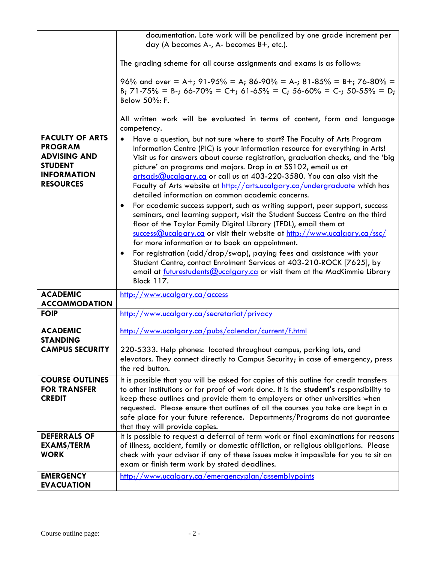|                                                                                                                             | documentation. Late work will be penalized by one grade increment per                                                                                                                                                                                                                                                                                                                                                                                                                                                                                                                                                                                                                                                                                                                                                                                                                                                                                                                                                                                                                                                                                                                               |
|-----------------------------------------------------------------------------------------------------------------------------|-----------------------------------------------------------------------------------------------------------------------------------------------------------------------------------------------------------------------------------------------------------------------------------------------------------------------------------------------------------------------------------------------------------------------------------------------------------------------------------------------------------------------------------------------------------------------------------------------------------------------------------------------------------------------------------------------------------------------------------------------------------------------------------------------------------------------------------------------------------------------------------------------------------------------------------------------------------------------------------------------------------------------------------------------------------------------------------------------------------------------------------------------------------------------------------------------------|
|                                                                                                                             | day (A becomes A-, A- becomes B+, etc.).                                                                                                                                                                                                                                                                                                                                                                                                                                                                                                                                                                                                                                                                                                                                                                                                                                                                                                                                                                                                                                                                                                                                                            |
|                                                                                                                             |                                                                                                                                                                                                                                                                                                                                                                                                                                                                                                                                                                                                                                                                                                                                                                                                                                                                                                                                                                                                                                                                                                                                                                                                     |
|                                                                                                                             | The grading scheme for all course assignments and exams is as follows:                                                                                                                                                                                                                                                                                                                                                                                                                                                                                                                                                                                                                                                                                                                                                                                                                                                                                                                                                                                                                                                                                                                              |
|                                                                                                                             | 96% and over = A+; 91-95% = A; 86-90% = A-; 81-85% = B+; 76-80% =<br>B; 71-75% = B-; 66-70% = C+; 61-65% = C; 56-60% = C-; 50-55% = D;<br>Below 50%: F.                                                                                                                                                                                                                                                                                                                                                                                                                                                                                                                                                                                                                                                                                                                                                                                                                                                                                                                                                                                                                                             |
|                                                                                                                             | All written work will be evaluated in terms of content, form and language<br>competency.                                                                                                                                                                                                                                                                                                                                                                                                                                                                                                                                                                                                                                                                                                                                                                                                                                                                                                                                                                                                                                                                                                            |
| <b>FACULTY OF ARTS</b><br><b>PROGRAM</b><br><b>ADVISING AND</b><br><b>STUDENT</b><br><b>INFORMATION</b><br><b>RESOURCES</b> | Have a question, but not sure where to start? The Faculty of Arts Program<br>Information Centre (PIC) is your information resource for everything in Arts!<br>Visit us for answers about course registration, graduation checks, and the 'big<br>picture' on programs and majors. Drop in at SS102, email us at<br>artsads@ucalgary.ca or call us at 403-220-3580. You can also visit the<br>Faculty of Arts website at http://arts.ucalgary.ca/undergraduate which has<br>detailed information on common academic concerns.<br>For academic success support, such as writing support, peer support, success<br>seminars, and learning support, visit the Student Success Centre on the third<br>floor of the Taylor Family Digital Library (TFDL), email them at<br>$\frac{\text{success@ucalgary.ca}}{\text{success@ucalgary.ca}}$ or visit their website at http://www.ucalgary.ca/ssc/<br>for more information or to book an appointment.<br>For registration (add/drop/swap), paying fees and assistance with your<br>Student Centre, contact Enrolment Services at 403-210-ROCK [7625], by<br>email at futurestudents@ucalgary.ca or visit them at the MacKimmie Library<br><b>Block 117.</b> |
| <b>ACADEMIC</b><br><b>ACCOMMODATION</b>                                                                                     | http://www.ucalgary.ca/access                                                                                                                                                                                                                                                                                                                                                                                                                                                                                                                                                                                                                                                                                                                                                                                                                                                                                                                                                                                                                                                                                                                                                                       |
| <b>FOIP</b>                                                                                                                 |                                                                                                                                                                                                                                                                                                                                                                                                                                                                                                                                                                                                                                                                                                                                                                                                                                                                                                                                                                                                                                                                                                                                                                                                     |
|                                                                                                                             | <u>http://www.ucalgary.ca/secretariat/privacy</u>                                                                                                                                                                                                                                                                                                                                                                                                                                                                                                                                                                                                                                                                                                                                                                                                                                                                                                                                                                                                                                                                                                                                                   |
| <b>ACADEMIC</b>                                                                                                             | http://www.ucalgary.ca/pubs/calendar/current/f.html                                                                                                                                                                                                                                                                                                                                                                                                                                                                                                                                                                                                                                                                                                                                                                                                                                                                                                                                                                                                                                                                                                                                                 |
| <b>STANDING</b>                                                                                                             |                                                                                                                                                                                                                                                                                                                                                                                                                                                                                                                                                                                                                                                                                                                                                                                                                                                                                                                                                                                                                                                                                                                                                                                                     |
| <b>CAMPUS SECURITY</b>                                                                                                      | 220-5333. Help phones: located throughout campus, parking lots, and<br>elevators. They connect directly to Campus Security; in case of emergency, press<br>the red button.                                                                                                                                                                                                                                                                                                                                                                                                                                                                                                                                                                                                                                                                                                                                                                                                                                                                                                                                                                                                                          |
| <b>COURSE OUTLINES</b>                                                                                                      | It is possible that you will be asked for copies of this outline for credit transfers                                                                                                                                                                                                                                                                                                                                                                                                                                                                                                                                                                                                                                                                                                                                                                                                                                                                                                                                                                                                                                                                                                               |
| <b>FOR TRANSFER</b>                                                                                                         | to other institutions or for proof of work done. It is the student's responsibility to                                                                                                                                                                                                                                                                                                                                                                                                                                                                                                                                                                                                                                                                                                                                                                                                                                                                                                                                                                                                                                                                                                              |
| <b>CREDIT</b>                                                                                                               | keep these outlines and provide them to employers or other universities when                                                                                                                                                                                                                                                                                                                                                                                                                                                                                                                                                                                                                                                                                                                                                                                                                                                                                                                                                                                                                                                                                                                        |
|                                                                                                                             | requested. Please ensure that outlines of all the courses you take are kept in a                                                                                                                                                                                                                                                                                                                                                                                                                                                                                                                                                                                                                                                                                                                                                                                                                                                                                                                                                                                                                                                                                                                    |
|                                                                                                                             | safe place for your future reference. Departments/Programs do not guarantee                                                                                                                                                                                                                                                                                                                                                                                                                                                                                                                                                                                                                                                                                                                                                                                                                                                                                                                                                                                                                                                                                                                         |
|                                                                                                                             | that they will provide copies.                                                                                                                                                                                                                                                                                                                                                                                                                                                                                                                                                                                                                                                                                                                                                                                                                                                                                                                                                                                                                                                                                                                                                                      |
| <b>DEFERRALS OF</b>                                                                                                         | It is possible to request a deferral of term work or final examinations for reasons                                                                                                                                                                                                                                                                                                                                                                                                                                                                                                                                                                                                                                                                                                                                                                                                                                                                                                                                                                                                                                                                                                                 |
| <b>EXAMS/TERM</b>                                                                                                           | of illness, accident, family or domestic affliction, or religious obligations. Please                                                                                                                                                                                                                                                                                                                                                                                                                                                                                                                                                                                                                                                                                                                                                                                                                                                                                                                                                                                                                                                                                                               |
| <b>WORK</b>                                                                                                                 | check with your advisor if any of these issues make it impossible for you to sit an                                                                                                                                                                                                                                                                                                                                                                                                                                                                                                                                                                                                                                                                                                                                                                                                                                                                                                                                                                                                                                                                                                                 |
|                                                                                                                             | exam or finish term work by stated deadlines.                                                                                                                                                                                                                                                                                                                                                                                                                                                                                                                                                                                                                                                                                                                                                                                                                                                                                                                                                                                                                                                                                                                                                       |
| <b>EMERGENCY</b>                                                                                                            | http://www.ucalgary.ca/emergencyplan/assemblypoints                                                                                                                                                                                                                                                                                                                                                                                                                                                                                                                                                                                                                                                                                                                                                                                                                                                                                                                                                                                                                                                                                                                                                 |
| <b>EVACUATION</b>                                                                                                           |                                                                                                                                                                                                                                                                                                                                                                                                                                                                                                                                                                                                                                                                                                                                                                                                                                                                                                                                                                                                                                                                                                                                                                                                     |